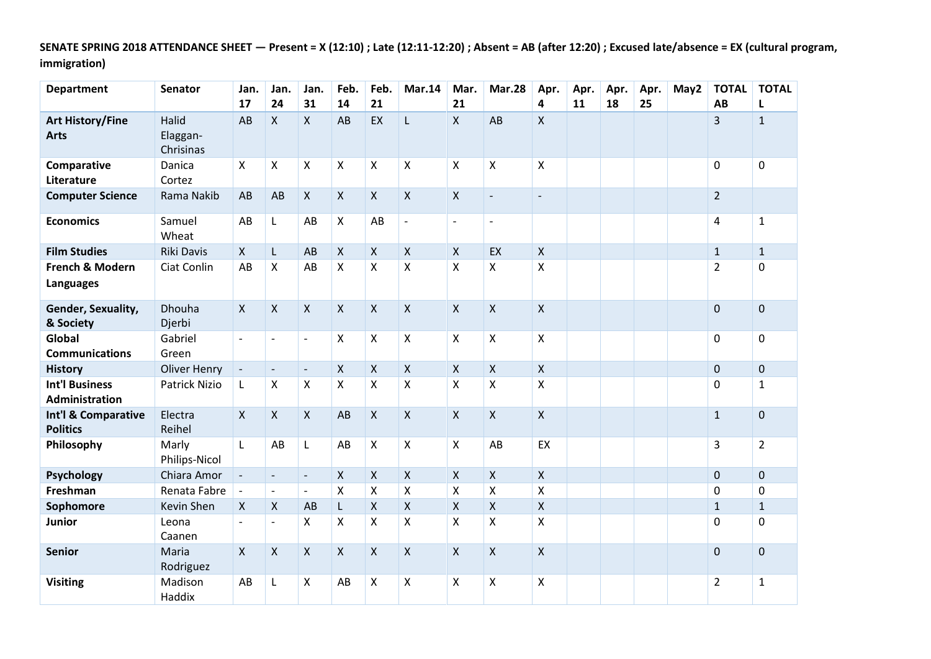**SENATE SPRING 2018 ATTENDANCE SHEET — Present = X (12:10) ; Late (12:11-12:20) ; Absent = AB (after 12:20) ; Excused late/absence = EX (cultural program, immigration)**

| <b>Department</b>                              | <b>Senator</b>                 | Jan.<br>17                  | Jan.<br>24               | Jan.<br>31               | Feb.<br>14                | Feb.<br>21   | <b>Mar.14</b>      | Mar.<br>21               | <b>Mar.28</b>             | Apr.<br>4                | Apr.<br>11 | Apr.<br>18 | Apr.<br>25 | May2 | <b>TOTAL</b><br>AB | <b>TOTAL</b><br>L |
|------------------------------------------------|--------------------------------|-----------------------------|--------------------------|--------------------------|---------------------------|--------------|--------------------|--------------------------|---------------------------|--------------------------|------------|------------|------------|------|--------------------|-------------------|
| <b>Art History/Fine</b><br><b>Arts</b>         | Halid<br>Elaggan-<br>Chrisinas | AB                          | $\mathsf{X}$             | $\mathsf{X}$             | AB                        | EX           | L                  | $\mathsf{X}$             | AB                        | Χ                        |            |            |            |      | 3                  | $\mathbf{1}$      |
| Comparative<br>Literature                      | Danica<br>Cortez               | X                           | X                        | $\pmb{\times}$           | $\boldsymbol{\mathsf{X}}$ | X            | X                  | $\pmb{\times}$           | $\boldsymbol{\mathsf{X}}$ | X                        |            |            |            |      | 0                  | $\pmb{0}$         |
| <b>Computer Science</b>                        | Rama Nakib                     | AB                          | AB                       | $\mathsf{X}$             | $\mathsf{X}$              | $\mathsf{X}$ | $\pmb{\times}$     | $\pmb{\mathsf{X}}$       | $\overline{\phantom{a}}$  | $\overline{\phantom{a}}$ |            |            |            |      | $\overline{2}$     |                   |
| <b>Economics</b>                               | Samuel<br>Wheat                | AB                          | L                        | AB                       | $\boldsymbol{\mathsf{X}}$ | AB           | $\blacksquare$     | $\overline{\phantom{a}}$ | $\overline{a}$            |                          |            |            |            |      | $\overline{4}$     | $\mathbf 1$       |
| <b>Film Studies</b>                            | Riki Davis                     | $\mathsf{X}$                | L                        | AB                       | $\mathsf{X}$              | $\mathsf X$  | $\pmb{\mathsf{X}}$ | $\pmb{\times}$           | EX                        | $\pmb{\mathsf{X}}$       |            |            |            |      | $\mathbf{1}$       | $\mathbf{1}$      |
| French & Modern<br><b>Languages</b>            | Ciat Conlin                    | AB                          | X                        | AB                       | X                         | X            | X                  | Χ                        | X                         | X                        |            |            |            |      | $\overline{2}$     | $\mathbf 0$       |
| Gender, Sexuality,<br>& Society                | Dhouha<br>Djerbi               | $\mathsf{X}$                | $\mathsf{X}$             | $\mathsf{X}$             | $\mathsf{X}$              | $\mathsf{X}$ | $\mathsf{X}$       | $\mathsf{X}$             | $\mathsf{X}$              | $\mathsf{x}$             |            |            |            |      | $\mathbf 0$        | $\mathbf 0$       |
| Global<br><b>Communications</b>                | Gabriel<br>Green               | $\overline{\phantom{a}}$    |                          | $\blacksquare$           | $\boldsymbol{\mathsf{X}}$ | X            | Χ                  | $\mathsf{X}$             | $\boldsymbol{\mathsf{X}}$ | X                        |            |            |            |      | 0                  | 0                 |
| <b>History</b>                                 | <b>Oliver Henry</b>            | $\overline{\phantom{a}}$    | $\overline{\phantom{a}}$ | $\overline{\phantom{a}}$ | $\boldsymbol{\mathsf{X}}$ | $\mathsf{X}$ | $\pmb{\mathsf{X}}$ | $\pmb{\times}$           | $\boldsymbol{\mathsf{X}}$ | $\pmb{\mathsf{X}}$       |            |            |            |      | $\mathbf 0$        | $\pmb{0}$         |
| <b>Int'l Business</b><br><b>Administration</b> | <b>Patrick Nizio</b>           | L                           | X                        | $\pmb{\mathsf{X}}$       | $\pmb{\mathsf{X}}$        | Χ            | Χ                  | $\pmb{\mathsf{X}}$       | $\boldsymbol{\mathsf{X}}$ | $\pmb{\mathsf{X}}$       |            |            |            |      | $\Omega$           | $\mathbf{1}$      |
| Int'l & Comparative<br><b>Politics</b>         | Electra<br>Reihel              | $\mathsf{X}$                | $\mathsf{X}$             | $\mathsf{X}$             | AB                        | $\mathsf{X}$ | $\pmb{\times}$     | $\mathsf{X}$             | $\boldsymbol{\mathsf{X}}$ | $\mathsf{X}$             |            |            |            |      | $\mathbf{1}$       | $\pmb{0}$         |
| Philosophy                                     | Marly<br>Philips-Nicol         | $\mathsf{L}$                | AB                       | $\mathsf{L}$             | AB                        | $\mathsf{X}$ | X                  | $\mathsf{X}$             | AB                        | EX                       |            |            |            |      | 3                  | $\overline{2}$    |
| Psychology                                     | Chiara Amor                    | $\mathcal{L}_{\mathcal{A}}$ | $\overline{\phantom{a}}$ | $\overline{\phantom{a}}$ | $\boldsymbol{\mathsf{X}}$ | $\mathsf{X}$ | X                  | $\mathsf{X}$             | $\boldsymbol{\mathsf{X}}$ | $\pmb{\mathsf{X}}$       |            |            |            |      | $\mathbf 0$        | $\mathbf 0$       |
| Freshman                                       | Renata Fabre                   | $\overline{\phantom{a}}$    | $\blacksquare$           | $\blacksquare$           | $\mathsf{X}$              | X            | X                  | $\pmb{\mathsf{X}}$       | $\boldsymbol{\mathsf{X}}$ | $\mathsf{X}$             |            |            |            |      | $\mathbf 0$        | 0                 |
| Sophomore                                      | Kevin Shen                     | $\boldsymbol{\mathsf{X}}$   | X                        | AB                       | L                         | X            | X                  | $\mathsf{X}$             | $\boldsymbol{\mathsf{X}}$ | $\mathsf{X}$             |            |            |            |      | $\mathbf{1}$       | $\mathbf{1}$      |
| <b>Junior</b>                                  | Leona<br>Caanen                | $\overline{\phantom{a}}$    | $\overline{\phantom{a}}$ | X                        | $\boldsymbol{\mathsf{X}}$ | X            | X                  | $\pmb{\times}$           | $\mathsf{X}$              | $\pmb{\mathsf{X}}$       |            |            |            |      | $\mathbf 0$        | $\mathbf 0$       |
| <b>Senior</b>                                  | Maria<br>Rodriguez             | X                           | $\mathsf{X}$             | $\pmb{\times}$           | $\mathsf{X}$              | $\mathsf{X}$ | $\mathsf{X}$       | $\mathsf{X}$             | $\boldsymbol{\mathsf{X}}$ | $\mathsf{X}$             |            |            |            |      | $\mathbf 0$        | $\pmb{0}$         |
| <b>Visiting</b>                                | Madison<br>Haddix              | AB                          | L                        | $\mathsf{X}$             | AB                        | X            | Χ                  | X                        | Χ                         | X                        |            |            |            |      | $\overline{2}$     | $\mathbf{1}$      |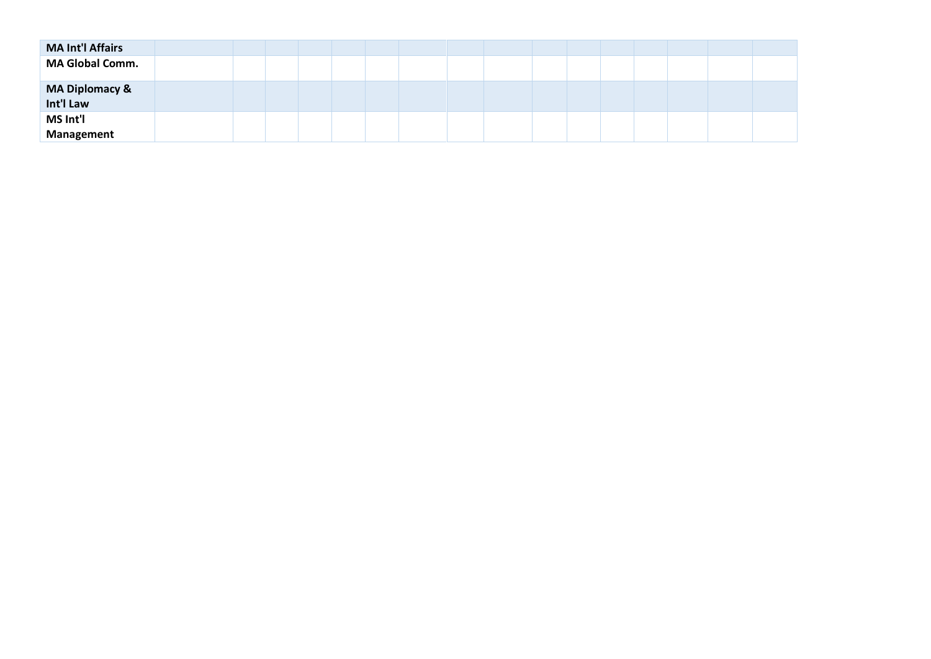| <b>MA Int'l Affairs</b>     |  |  |  |  |  |  |  |  |
|-----------------------------|--|--|--|--|--|--|--|--|
| <b>MA Global Comm.</b>      |  |  |  |  |  |  |  |  |
| MA Diplomacy &<br>Int'l Law |  |  |  |  |  |  |  |  |
| MS Int'l<br>Management      |  |  |  |  |  |  |  |  |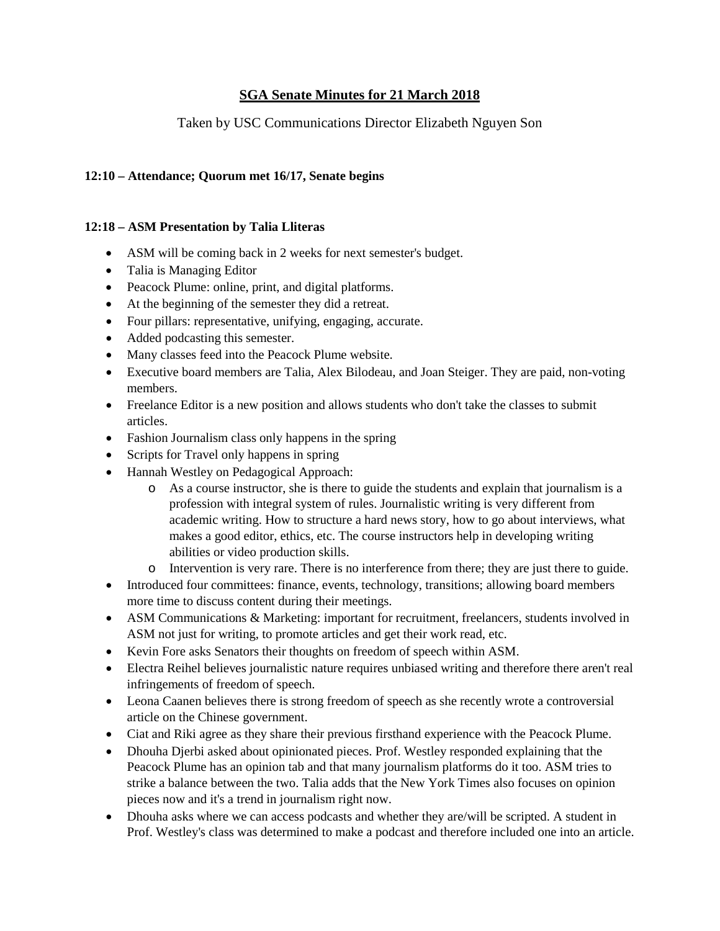# **SGA Senate Minutes for 21 March 2018**

# Taken by USC Communications Director Elizabeth Nguyen Son

#### **12:10 – Attendance; Quorum met 16/17, Senate begins**

#### **12:18 – ASM Presentation by Talia Lliteras**

- ASM will be coming back in 2 weeks for next semester's budget.
- Talia is Managing Editor
- Peacock Plume: online, print, and digital platforms.
- At the beginning of the semester they did a retreat.
- Four pillars: representative, unifying, engaging, accurate.
- Added podcasting this semester.
- Many classes feed into the Peacock Plume website.
- Executive board members are Talia, Alex Bilodeau, and Joan Steiger. They are paid, non-voting members.
- Freelance Editor is a new position and allows students who don't take the classes to submit articles.
- Fashion Journalism class only happens in the spring
- Scripts for Travel only happens in spring
- Hannah Westley on Pedagogical Approach:
	- o As a course instructor, she is there to guide the students and explain that journalism is a profession with integral system of rules. Journalistic writing is very different from academic writing. How to structure a hard news story, how to go about interviews, what makes a good editor, ethics, etc. The course instructors help in developing writing abilities or video production skills.
	- o Intervention is very rare. There is no interference from there; they are just there to guide.
- Introduced four committees: finance, events, technology, transitions; allowing board members more time to discuss content during their meetings.
- ASM Communications & Marketing: important for recruitment, freelancers, students involved in ASM not just for writing, to promote articles and get their work read, etc.
- Kevin Fore asks Senators their thoughts on freedom of speech within ASM.
- Electra Reihel believes journalistic nature requires unbiased writing and therefore there aren't real infringements of freedom of speech.
- Leona Caanen believes there is strong freedom of speech as she recently wrote a controversial article on the Chinese government.
- Ciat and Riki agree as they share their previous firsthand experience with the Peacock Plume.
- Dhouha Djerbi asked about opinionated pieces. Prof. Westley responded explaining that the Peacock Plume has an opinion tab and that many journalism platforms do it too. ASM tries to strike a balance between the two. Talia adds that the New York Times also focuses on opinion pieces now and it's a trend in journalism right now.
- Dhouha asks where we can access podcasts and whether they are/will be scripted. A student in Prof. Westley's class was determined to make a podcast and therefore included one into an article.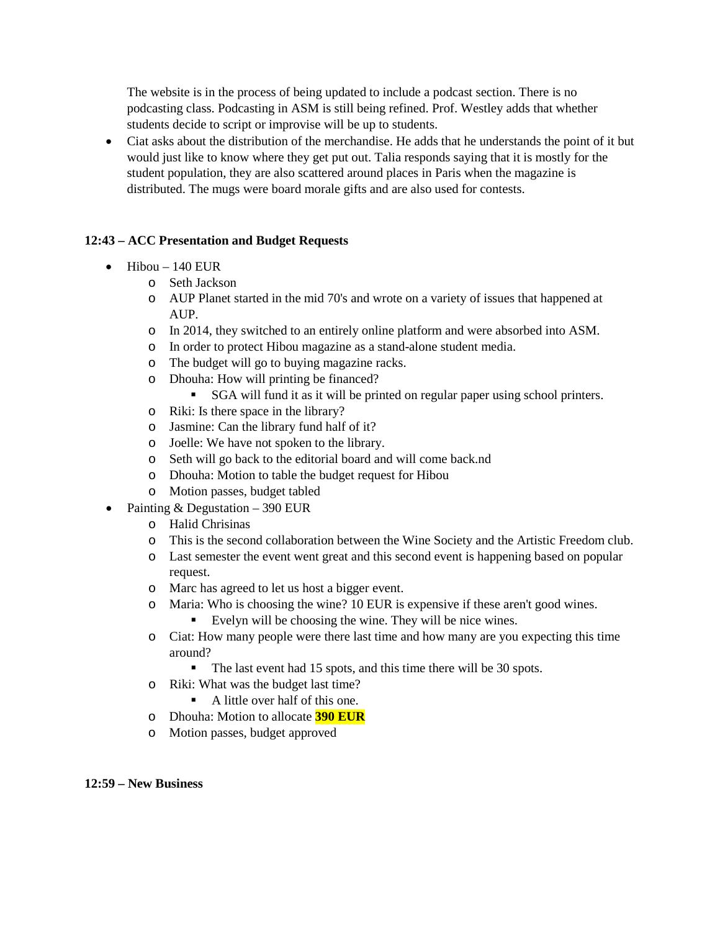The website is in the process of being updated to include a podcast section. There is no podcasting class. Podcasting in ASM is still being refined. Prof. Westley adds that whether students decide to script or improvise will be up to students.

• Ciat asks about the distribution of the merchandise. He adds that he understands the point of it but would just like to know where they get put out. Talia responds saying that it is mostly for the student population, they are also scattered around places in Paris when the magazine is distributed. The mugs were board morale gifts and are also used for contests.

### **12:43 – ACC Presentation and Budget Requests**

- $\bullet$  Hibou 140 EUR
	- o Seth Jackson
	- o AUP Planet started in the mid 70's and wrote on a variety of issues that happened at AUP.
	- o In 2014, they switched to an entirely online platform and were absorbed into ASM.
	- o In order to protect Hibou magazine as a stand-alone student media.
	- o The budget will go to buying magazine racks.
	- o Dhouha: How will printing be financed?
		- SGA will fund it as it will be printed on regular paper using school printers.
	- o Riki: Is there space in the library?
	- o Jasmine: Can the library fund half of it?
	- o Joelle: We have not spoken to the library.
	- o Seth will go back to the editorial board and will come back.nd
	- o Dhouha: Motion to table the budget request for Hibou
	- o Motion passes, budget tabled
- Painting & Degustation 390 EUR
	- o Halid Chrisinas
	- o This is the second collaboration between the Wine Society and the Artistic Freedom club.
	- o Last semester the event went great and this second event is happening based on popular request.
	- o Marc has agreed to let us host a bigger event.
	- o Maria: Who is choosing the wine? 10 EUR is expensive if these aren't good wines.
		- Evelyn will be choosing the wine. They will be nice wines.
	- o Ciat: How many people were there last time and how many are you expecting this time around?
		- The last event had 15 spots, and this time there will be 30 spots.
	- o Riki: What was the budget last time?
		- A little over half of this one.
	- o Dhouha: Motion to allocate **390 EUR**
	- o Motion passes, budget approved

#### **12:59 – New Business**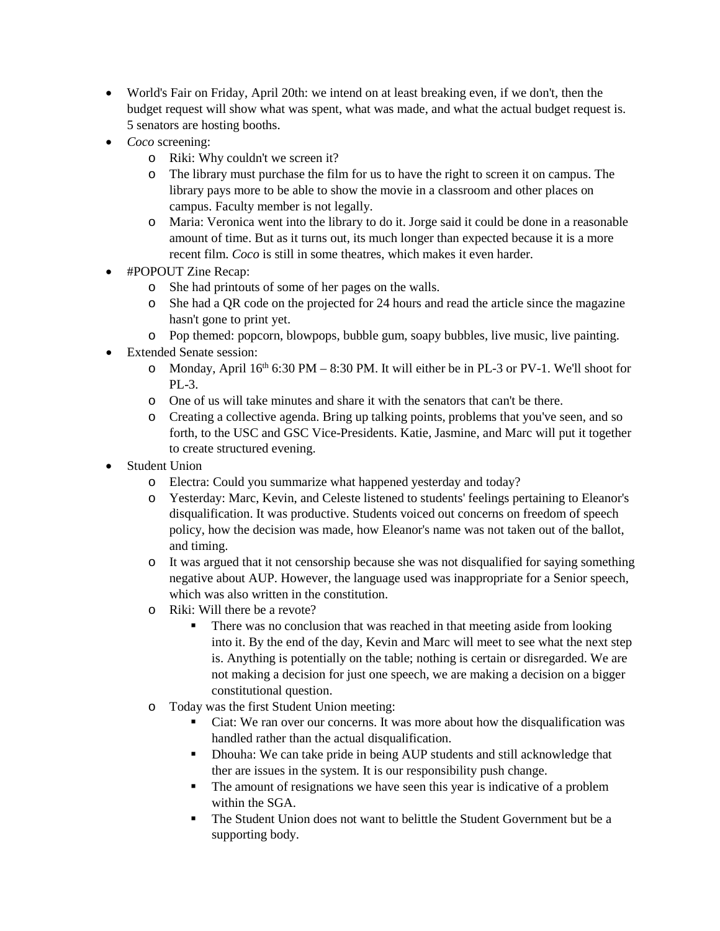- World's Fair on Friday, April 20th: we intend on at least breaking even, if we don't, then the budget request will show what was spent, what was made, and what the actual budget request is. 5 senators are hosting booths.
- *Coco* screening:
	- o Riki: Why couldn't we screen it?
	- o The library must purchase the film for us to have the right to screen it on campus. The library pays more to be able to show the movie in a classroom and other places on campus. Faculty member is not legally.
	- o Maria: Veronica went into the library to do it. Jorge said it could be done in a reasonable amount of time. But as it turns out, its much longer than expected because it is a more recent film. *Coco* is still in some theatres, which makes it even harder.
- #POPOUT Zine Recap:
	- o She had printouts of some of her pages on the walls.
	- o She had a QR code on the projected for 24 hours and read the article since the magazine hasn't gone to print yet.
	- o Pop themed: popcorn, blowpops, bubble gum, soapy bubbles, live music, live painting.
- Extended Senate session:
	- o Monday, April 16<sup>th</sup> 6:30 PM 8:30 PM. It will either be in PL-3 or PV-1. We'll shoot for  $PL-3$ .
	- o One of us will take minutes and share it with the senators that can't be there.
	- o Creating a collective agenda. Bring up talking points, problems that you've seen, and so forth, to the USC and GSC Vice-Presidents. Katie, Jasmine, and Marc will put it together to create structured evening.
- Student Union
	- o Electra: Could you summarize what happened yesterday and today?
	- o Yesterday: Marc, Kevin, and Celeste listened to students' feelings pertaining to Eleanor's disqualification. It was productive. Students voiced out concerns on freedom of speech policy, how the decision was made, how Eleanor's name was not taken out of the ballot, and timing.
	- o It was argued that it not censorship because she was not disqualified for saying something negative about AUP. However, the language used was inappropriate for a Senior speech, which was also written in the constitution.
	- o Riki: Will there be a revote?
		- There was no conclusion that was reached in that meeting aside from looking into it. By the end of the day, Kevin and Marc will meet to see what the next step is. Anything is potentially on the table; nothing is certain or disregarded. We are not making a decision for just one speech, we are making a decision on a bigger constitutional question.
	- o Today was the first Student Union meeting:
		- Ciat: We ran over our concerns. It was more about how the disqualification was handled rather than the actual disqualification.
		- Dhouha: We can take pride in being AUP students and still acknowledge that ther are issues in the system. It is our responsibility push change.
		- The amount of resignations we have seen this year is indicative of a problem within the SGA.
		- The Student Union does not want to belittle the Student Government but be a supporting body.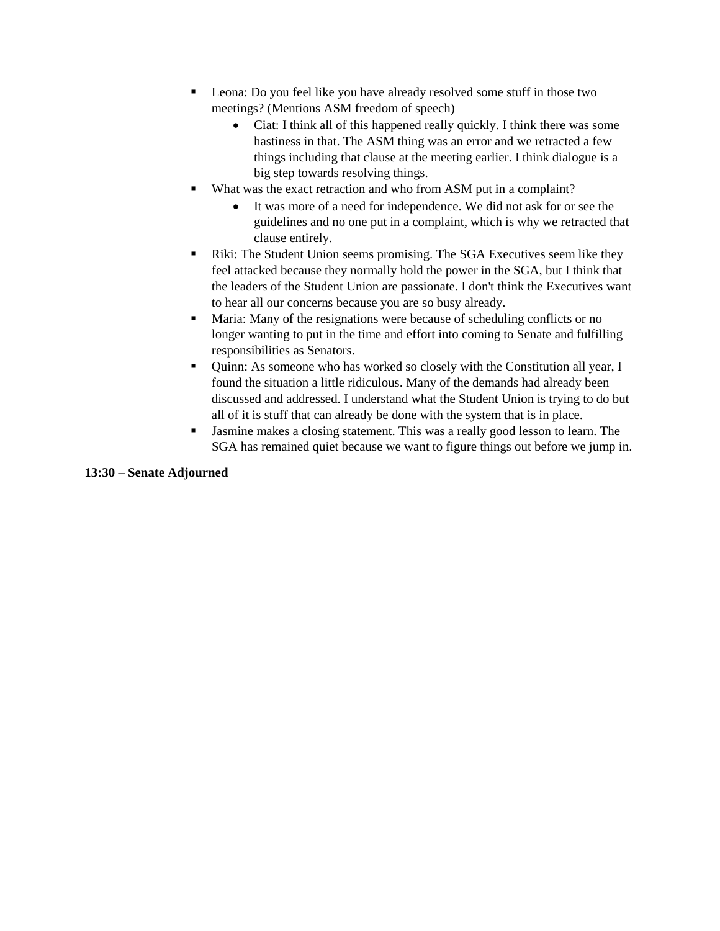- **Leona:** Do you feel like you have already resolved some stuff in those two meetings? (Mentions ASM freedom of speech)
	- Ciat: I think all of this happened really quickly. I think there was some hastiness in that. The ASM thing was an error and we retracted a few things including that clause at the meeting earlier. I think dialogue is a big step towards resolving things.
- What was the exact retraction and who from ASM put in a complaint?
	- It was more of a need for independence. We did not ask for or see the guidelines and no one put in a complaint, which is why we retracted that clause entirely.
- Riki: The Student Union seems promising. The SGA Executives seem like they feel attacked because they normally hold the power in the SGA, but I think that the leaders of the Student Union are passionate. I don't think the Executives want to hear all our concerns because you are so busy already.
- Maria: Many of the resignations were because of scheduling conflicts or no longer wanting to put in the time and effort into coming to Senate and fulfilling responsibilities as Senators.
- Quinn: As someone who has worked so closely with the Constitution all year, I found the situation a little ridiculous. Many of the demands had already been discussed and addressed. I understand what the Student Union is trying to do but all of it is stuff that can already be done with the system that is in place.
- Jasmine makes a closing statement. This was a really good lesson to learn. The SGA has remained quiet because we want to figure things out before we jump in.

#### **13:30 – Senate Adjourned**